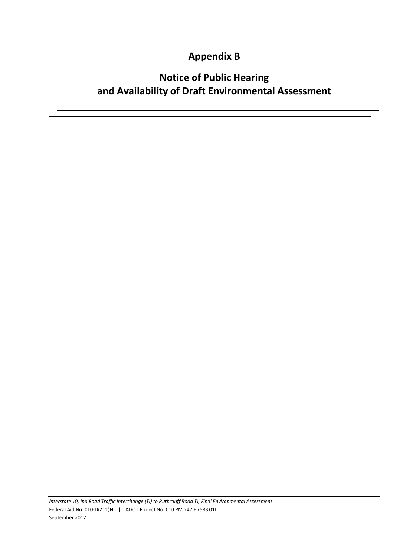### **Appendix B**

## **Notice of Public Hearing and Availability of Draft Environmental Assessment**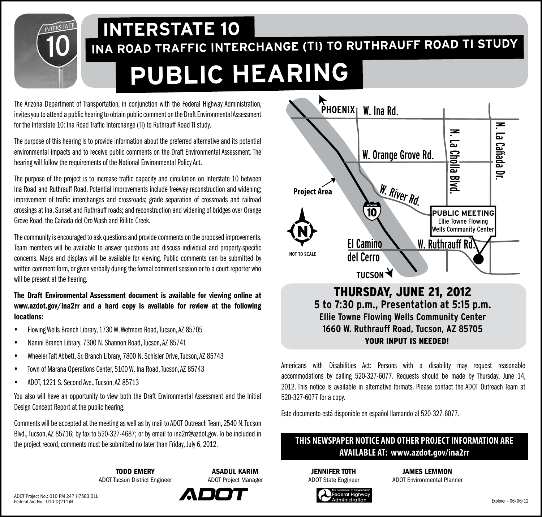# **INA ROAD TRAFFIC INTERCHANGE (TI) TO RUTHRAUFF ROAD TI STUDY INTERSTATE 10 PUBLIC HEARING**

The Arizona Department of Transportation, in conjunction with the Federal Highway Administration,<br>The Arizonal Actual Anublic hosting to obtain public comment on the Draft Environmental Assessment **PHOENIX** | W. Ina Rd. invites you to attend a public hearing to obtain public comment on the Draft Environmental Assessment for the Interstate 10: Ina Road Traffic Interchange (TI) to Ruthrauff Road TI study.

The purpose of this hearing is to provide information about the preferred alternative and its potential environmental impacts and to receive public comments on the Draft Environmental Assessment. The hearing will follow the requirements of the National Environmental Policy Act.

The purpose of the project is to increase traffic capacity and circulation on Interstate 10 between Ina Road and Ruthrauff Road. Potential improvements include freeway reconstruction and widening; improvement of traffic interchanges and crossroads; grade separation of crossroads and railroad crossings at Ina, Sunset and Ruthrauff roads; and reconstruction and widening of bridges over Orange Grove Road, the Cañada del Oro Wash and Rillito Creek.

The community is encouraged to ask questions and provide comments on the proposed improvements. Team members will be available to answer questions and discuss individual and property-specific concerns. Maps and displays will be available for viewing. Public comments can be submitted by written comment form, or given verbally during the formal comment session or to a court reporter who will be present at the hearing.

#### The Draft Environmental Assessment document is available for viewing online at www.azdot.gov/ina2rr and a hard copy is available for review at the following locations:

- y Flowing Wells Branch Library, 1730 W. Wetmore Road, Tucson, AZ 85705
- Nanini Branch Library, 7300 N. Shannon Road, Tucson, AZ 85741
- y Wheeler Taft Abbett, Sr. Branch Library, 7800 N. Schisler Drive, Tucson, AZ 85743
- Town of Marana Operations Center, 5100 W. Ina Road, Tucson, AZ 85743
- y ADOT, 1221 S. Second Ave., Tucson, AZ 85713

You also will have an opportunity to view both the Draft Environmental Assessment and the Initial Design Concept Report at the public hearing.

Comments will be accepted at the meeting as well as by mail to ADOT Outreach Team, 2540 N. Tucson Blvd., Tucson, AZ 85716; by fax to 520-327-4687; or by email to ina2rr@azdot.gov. To be included in the project record, comments must be submitted no later than Friday, July 6, 2012.

> **TODD EMERY** ADOT Tucson District Engineer



ASADUL KARIM



**5 to 7:30 p.m., Presentation at 5:15 p.m. Ellie Towne Flowing Wells Community Center 1660 W. Ruthrauff Road, Tucson, AZ 85705** YOUR INPUT IS NEEDED!

Americans with Disabilities Act: Persons with a disability may request reasonable accommodations by calling 520-327-6077. Requests should be made by Thursday, June 14, 2012. This notice is available in alternative formats. Please contact the ADOT Outreach Team at 520-327-6077 for a copy.

Este documento está disponible en español llamando al 520-327-6077.

#### **THIS NEWSPAPER NOTICE AND OTHER PROJECT INFORMATION ARE AVAILABLE AT: www.azdot.gov/ina2rr**

**JENNIFER TOTH** ADOT State Engineer

JAMES LEMMON ADOT Environmental Planner

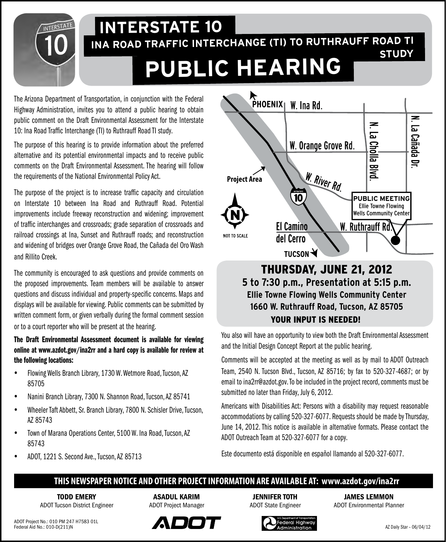

## **INA ROAD TRAFFIC INTERCHANGE (TI) TO RUTHRAUFF ROAD TI INTERSTATE 10 STUDY PUBLIC HEARING**

The Arizona Department of Transportation, in conjunction with the Federal Highway Administration, invites you to attend a public hearing to obtain public comment on the Draft Environmental Assessment for the Interstate 10: Ina Road Traffic Interchange (TI) to Ruthrauff Road TI study.

The purpose of this hearing is to provide information about the preferred alternative and its potential environmental impacts and to receive public comments on the Draft Environmental Assessment. The hearing will follow the requirements of the National Environmental Policy Act.

The purpose of the project is to increase traffic capacity and circulation on Interstate 10 between Ina Road and Ruthrauff Road. Potential improvements include freeway reconstruction and widening; improvement of traffic interchanges and crossroads; grade separation of crossroads and railroad crossings at Ina, Sunset and Ruthrauff roads; and reconstruction and widening of bridges over Orange Grove Road, the Cañada del Oro Wash and Rillito Creek.

The community is encouraged to ask questions and provide comments on the proposed improvements. Team members will be available to answer questions and discuss individual and property-specific concerns. Maps and displays will be available for viewing. Public comments can be submitted by written comment form, or given verbally during the formal comment session or to a court reporter who will be present at the hearing.

The Draft Environmental Assessment document is available for viewing online at www.azdot.gov/ina2rr and a hard copy is available for review at the following locations:

- Flowing Wells Branch Library, 1730 W. Wetmore Road, Tucson, AZ 85705
- Nanini Branch Library, 7300 N. Shannon Road, Tucson, AZ 85741
- y Wheeler Taft Abbett, Sr. Branch Library, 7800 N. Schisler Drive, Tucson, AZ 85743
- Town of Marana Operations Center, 5100 W. Ina Road, Tucson, AZ 85743
- y ADOT, 1221 S. Second Ave., Tucson, AZ 85713



#### Thursday, June 21, 2012 **5 to 7:30 p.m., Presentation at 5:15 p.m. Ellie Towne Flowing Wells Community Center 1660 W. Ruthrauff Road, Tucson, AZ 85705** YOUR INPUT IS NEEDED!

You also will have an opportunity to view both the Draft Environmental Assessment and the Initial Design Concept Report at the public hearing.

Comments will be accepted at the meeting as well as by mail to ADOT Outreach Team, 2540 N. Tucson Blvd., Tucson, AZ 85716; by fax to 520-327-4687; or by email to ina2rr@azdot.gov. To be included in the project record, comments must be submitted no later than Friday, July 6, 2012.

Americans with Disabilities Act: Persons with a disability may request reasonable accommodations by calling 520-327-6077. Requests should be made by Thursday, June 14, 2012. This notice is available in alternative formats. Please contact the ADOT Outreach Team at 520-327-6077 for a copy.

Este documento está disponible en español llamando al 520-327-6077.

#### **THIS NEWSPAPER NOTICE AND OTHER PROJECT INFORMATION ARE AVAILABLE AT: www.azdot.gov/ina2rr**

**TODD EMERY** ADOT Tucson District Engineer

ASADUL KARIM ADOT Project Manager

Jennifer toth ADOT State Engineer

JAMES LEMMON ADOT Environmental Planner



ederal Highway:  $dministration$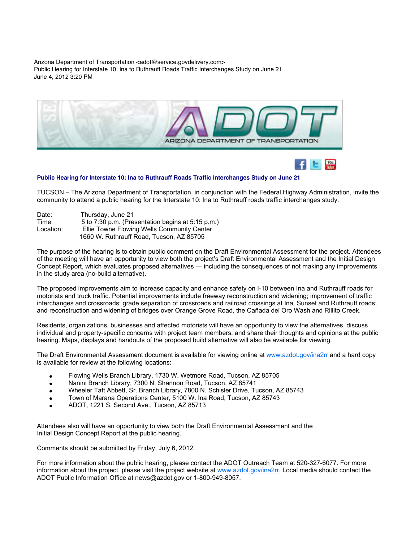Arizona Department of Transportation <adot@service.govdelivery.com> Public Hearing for Interstate 10: Ina to Ruthrauff Roads Traffic Interchanges Study on June 21 June 4, 2012 3:20 PM



#### **Public Hearing for Interstate 10: Ina to Ruthrauff Roads Traffic Interchanges Study on June 21**

TUCSON – The Arizona Department of Transportation, in conjunction with the Federal Highway Administration, invite the community to attend a public hearing for the Interstate 10: Ina to Ruthrauff roads traffic interchanges study.

| Date:     | Thursday, June 21                                 |
|-----------|---------------------------------------------------|
| Time:     | 5 to 7:30 p.m. (Presentation begins at 5:15 p.m.) |
| Location: | Ellie Towne Flowing Wells Community Center        |
|           | 1660 W. Ruthrauff Road. Tucson. AZ 85705          |

The purpose of the hearing is to obtain public comment on the Draft Environmental Assessment for the project. Attendees of the meeting will have an opportunity to view both the project's Draft Environmental Assessment and the Initial Design Concept Report, which evaluates proposed alternatives — including the consequences of not making any improvements in the study area (no-build alternative).

The proposed improvements aim to increase capacity and enhance safety on I-10 between Ina and Ruthrauff roads for motorists and truck traffic. Potential improvements include freeway reconstruction and widening; improvement of traffic interchanges and crossroads; grade separation of crossroads and railroad crossings at Ina, Sunset and Ruthrauff roads; and reconstruction and widening of bridges over Orange Grove Road, the Cañada del Oro Wash and Rillito Creek.

Residents, organizations, businesses and affected motorists will have an opportunity to view the alternatives, discuss individual and property-specific concerns with project team members, and share their thoughts and opinions at the public hearing. Maps, displays and handouts of the proposed build alternative will also be available for viewing.

The Draft Environmental Assessment document is available for viewing online at [www.azdot.gov/ina2rr](http://links.govdelivery.com/track?type=click&enid=ZWFzPTEmbWFpbGluZ2lkPTIwMTIwNjA0LjgwMzYyNjEmbWVzc2FnZWlkPU1EQi1QUkQtQlVMLTIwMTIwNjA0LjgwMzYyNjEmZGF0YWJhc2VpZD0xMDAxJnNlcmlhbD0xNjk2NTkzNCZlbWFpbGlkPWxvcmlAZ29yZGxleWRlc2lnbi5jb20mdXNlcmlkPWxvcmlAZ29yZGxleWRlc2lnbi5jb20mZmw9JmV4dHJhPU11bHRpdmFyaWF0ZUlkPSYmJg==&&&103&&&http://www.azdot.gov/ina2rr) and a hard copy is available for review at the following locations:

- Flowing Wells Branch Library, 1730 W. Wetmore Road, Tucson, AZ 85705
- Nanini Branch Library, 7300 N. Shannon Road, Tucson, AZ 85741  $\bullet$
- Wheeler Taft Abbett, Sr. Branch Library, 7800 N. Schisler Drive, Tucson, AZ 85743  $\bullet$
- Town of Marana Operations Center, 5100 W. Ina Road, Tucson, AZ 85743  $\bullet$
- ADOT, 1221 S. Second Ave., Tucson, AZ 85713

Attendees also will have an opportunity to view both the Draft Environmental Assessment and the Initial Design Concept Report at the public hearing.

Comments should be submitted by Friday, July 6, 2012.

For more information about the public hearing, please contact the ADOT Outreach Team at 520-327-6077. For more information about the project, please visit the project website at [www.azdot.gov/ina2rr.](http://links.govdelivery.com/track?type=click&enid=ZWFzPTEmbWFpbGluZ2lkPTIwMTIwNjA0LjgwMzYyNjEmbWVzc2FnZWlkPU1EQi1QUkQtQlVMLTIwMTIwNjA0LjgwMzYyNjEmZGF0YWJhc2VpZD0xMDAxJnNlcmlhbD0xNjk2NTkzNCZlbWFpbGlkPWxvcmlAZ29yZGxleWRlc2lnbi5jb20mdXNlcmlkPWxvcmlAZ29yZGxleWRlc2lnbi5jb20mZmw9JmV4dHJhPU11bHRpdmFyaWF0ZUlkPSYmJg==&&&103&&&http://www.azdot.gov/ina2rr) Local media should contact the ADOT Public Information Office at news@azdot.gov or 1-800-949-8057.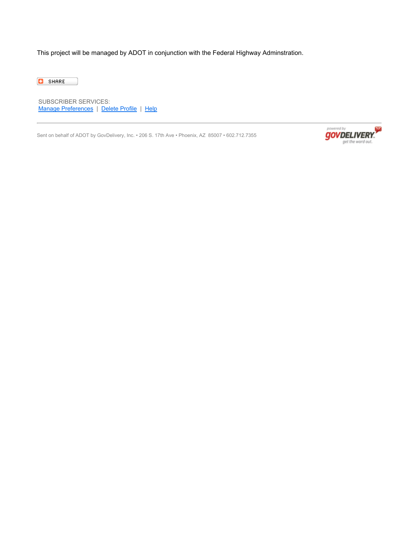This project will be managed by ADOT in conjunction with the Federal Highway Adminstration.

**C** SHARE

SUBSCRIBER SERVICES: [Manage Preferences](http://links.govdelivery.com/track?type=click&enid=ZWFzPTEmbWFpbGluZ2lkPTIwMTIwNjA0LjgwMzYyNjEmbWVzc2FnZWlkPU1EQi1QUkQtQlVMLTIwMTIwNjA0LjgwMzYyNjEmZGF0YWJhc2VpZD0xMDAxJnNlcmlhbD0xNjk2NTkzNCZlbWFpbGlkPWxvcmlAZ29yZGxleWRlc2lnbi5jb20mdXNlcmlkPWxvcmlAZ29yZGxleWRlc2lnbi5jb20mZmw9JmV4dHJhPU11bHRpdmFyaWF0ZUlkPSYmJg==&&&105&&&https://public.govdelivery.com/accounts/AZDOT/subscriber/new?preferences=true) | [Delete Profile](http://links.govdelivery.com/track?type=click&enid=ZWFzPTEmbWFpbGluZ2lkPTIwMTIwNjA0LjgwMzYyNjEmbWVzc2FnZWlkPU1EQi1QUkQtQlVMLTIwMTIwNjA0LjgwMzYyNjEmZGF0YWJhc2VpZD0xMDAxJnNlcmlhbD0xNjk2NTkzNCZlbWFpbGlkPWxvcmlAZ29yZGxleWRlc2lnbi5jb20mdXNlcmlkPWxvcmlAZ29yZGxleWRlc2lnbi5jb20mZmw9JmV4dHJhPU11bHRpdmFyaWF0ZUlkPSYmJg==&&&106&&&https://public.govdelivery.com/accounts/AZDOT/subscriber/one_click_unsubscribe?verification=3.f3d6e7b5b173ec6423ab6a799446ff22&destination=lori@gordleydesign.com) | [Help](mailto:support@govdelivery.com)

Sent on behalf of ADOT by GovDelivery, Inc. • 206 S. 17th Ave • Phoenix, AZ 85007 • 602.712.7355

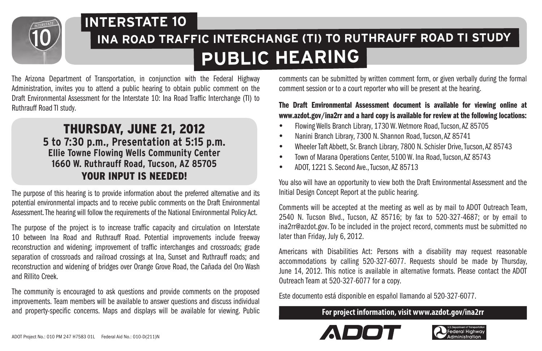

## **INA ROAD TRAFFIC INTERCHANGE (TI) TO RUTHRAUFF ROAD TI STUDY INTERSTATE 10 PUBLIC HEARING**

The Arizona Department of Transportation, in conjunction with the Federal Highway Administration, invites you to attend a public hearing to obtain public comment on the Draft Environmental Assessment for the Interstate 10: Ina Road Traffic Interchange (TI) to Ruthrauff Road TI study.

#### Thursday, June 21, 2012 **5 to 7:30 p.m., Presentation at 5:15 p.m. Ellie Towne Flowing Wells Community Center 1660 W. Ruthrauff Road, Tucson, AZ 85705** YOUR INPUT IS NEEDED!

The purpose of this hearing is to provide information about the preferred alternative and its potential environmental impacts and to receive public comments on the Draft Environmental Assessment. The hearing will follow the requirements of the National Environmental Policy Act.

The purpose of the project is to increase traffic capacity and circulation on Interstate 10 between Ina Road and Ruthrauff Road. Potential improvements include freeway reconstruction and widening; improvement of traffic interchanges and crossroads; grade separation of crossroads and railroad crossings at Ina, Sunset and Ruthrauff roads; and reconstruction and widening of bridges over Orange Grove Road, the Cañada del Oro Wash and Rillito Creek.

The community is encouraged to ask questions and provide comments on the proposed improvements. Team members will be available to answer questions and discuss individual and property-specific concerns. Maps and displays will be available for viewing. Public **For project information, visit www.azdot.gov/ina2rr**

comments can be submitted by written comment form, or given verbally during the formal comment session or to a court reporter who will be present at the hearing.

#### The Draft Environmental Assessment document is available for viewing online at www.azdot.gov/ina2rr and a hard copy is available for review at the following locations:

- y Flowing Wells Branch Library, 1730 W. Wetmore Road, Tucson, AZ 85705
- y Nanini Branch Library, 7300 N. Shannon Road, Tucson, AZ 85741
- y Wheeler Taft Abbett, Sr. Branch Library, 7800 N. Schisler Drive, Tucson, AZ 85743
- Town of Marana Operations Center, 5100 W. Ina Road, Tucson, AZ 85743
- y ADOT, 1221 S. Second Ave., Tucson, AZ 85713

You also will have an opportunity to view both the Draft Environmental Assessment and the Initial Design Concept Report at the public hearing.

Comments will be accepted at the meeting as well as by mail to ADOT Outreach Team, 2540 N. Tucson Blvd., Tucson, AZ 85716; by fax to 520-327-4687; or by email to ina2rr@azdot.gov. To be included in the project record, comments must be submitted no later than Friday, July 6, 2012.

Americans with Disabilities Act: Persons with a disability may request reasonable accommodations by calling 520-327-6077. Requests should be made by Thursday, June 14, 2012. This notice is available in alternative formats. Please contact the ADOT Outreach Team at 520-327-6077 for a copy.

Este documento está disponible en español llamando al 520-327-6077.